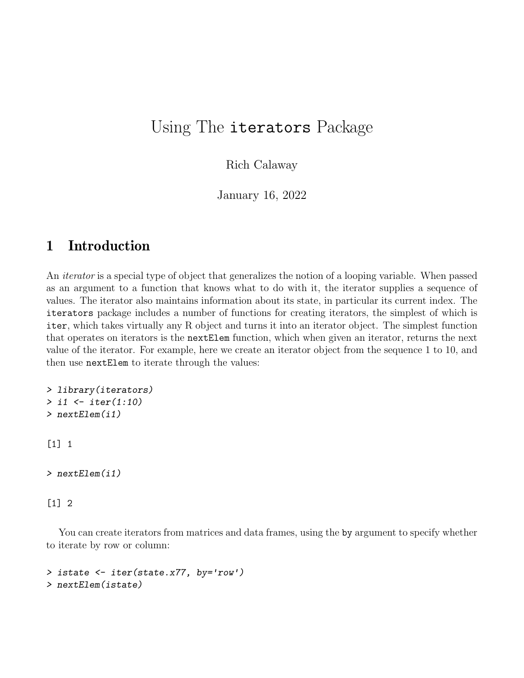## Using The iterators Package

Rich Calaway

January 16, 2022

## 1 Introduction

An iterator is a special type of object that generalizes the notion of a looping variable. When passed as an argument to a function that knows what to do with it, the iterator supplies a sequence of values. The iterator also maintains information about its state, in particular its current index. The iterators package includes a number of functions for creating iterators, the simplest of which is iter, which takes virtually any R object and turns it into an iterator object. The simplest function that operates on iterators is the nextElem function, which when given an iterator, returns the next value of the iterator. For example, here we create an iterator object from the sequence 1 to 10, and then use nextElem to iterate through the values:

```
> library(iterators)
> i1 <- iter(1:10)
> nextElem(i1)
```
[1] 1

```
> nextElem(i1)
```
[1] 2

You can create iterators from matrices and data frames, using the by argument to specify whether to iterate by row or column:

```
> istate <- iter(state.x77, by='row')
> nextElem(istate)
```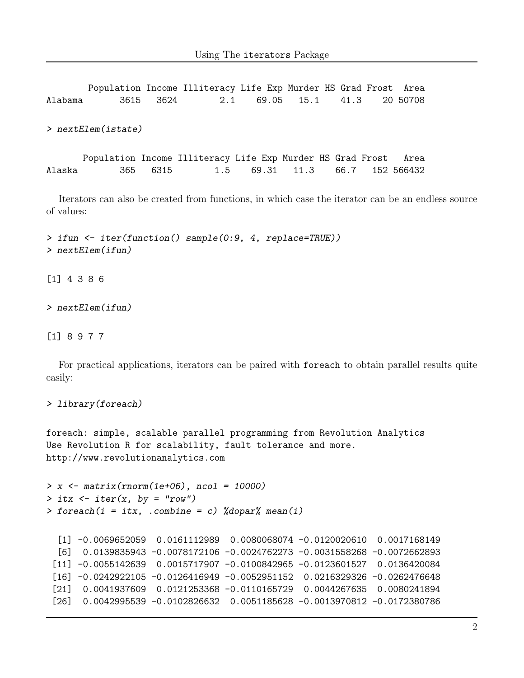Population Income Illiteracy Life Exp Murder HS Grad Frost Area Alabama 3615 3624 2.1 69.05 15.1 41.3 20 50708 > nextElem(istate) Population Income Illiteracy Life Exp Murder HS Grad Frost Area Alaska 365 6315 1.5 69.31 11.3 66.7 152 566432

Iterators can also be created from functions, in which case the iterator can be an endless source of values:

> ifun <- iter(function() sample(0:9, 4, replace=TRUE)) > nextElem(ifun)

[1] 4 3 8 6

> nextElem(ifun)

[1] 8 9 7 7

For practical applications, iterators can be paired with foreach to obtain parallel results quite easily:

```
> library(foreach)
```
foreach: simple, scalable parallel programming from Revolution Analytics Use Revolution R for scalability, fault tolerance and more. http://www.revolutionanalytics.com

```
> x \leftarrow matrix(rnorm(1e+06), ncol = 10000)> itx \le iter(x, by = "row")
> foreach(i = itx, .combine = c) %dopar% mean(i)
```

```
[1] -0.0069652059 0.0161112989 0.0080068074 -0.0120020610 0.0017168149
[6] 0.0139835943 -0.0078172106 -0.0024762273 -0.0031558268 -0.0072662893
[11] -0.0055142639 0.0015717907 -0.0100842965 -0.0123601527 0.0136420084
[16] -0.0242922105 -0.0126416949 -0.0052951152 0.0216329326 -0.0262476648
[21] 0.0041937609 0.0121253368 -0.0110165729 0.0044267635 0.0080241894
[26] 0.0042995539 -0.0102826632 0.0051185628 -0.0013970812 -0.0172380786
```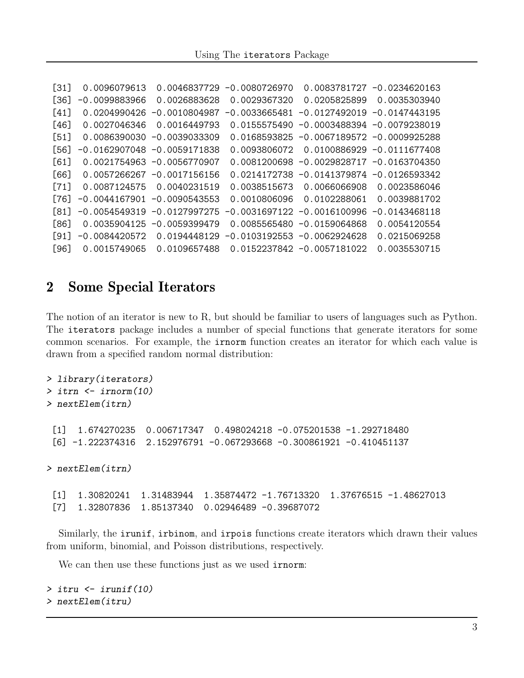| $[31]$       | 0.0096079613    | 0.0046837729                   | $-0.0080726970$ |                                              | $0.0083781727 -0.0234620163$  |
|--------------|-----------------|--------------------------------|-----------------|----------------------------------------------|-------------------------------|
| [36]         | $-0.0099883966$ | 0.0026883628                   | 0.0029367320    | 0.0205825899                                 | 0.0035303940                  |
| $[41]$       | 0.0204990426    | $-0.0010804987$                | $-0.0033665481$ | $-0.0127492019 - 0.0147443195$               |                               |
| $[46]$       | 0.0027046346    | 0.0016449793                   |                 | $0.0155575490 -0.0003488394 -0.0079238019$   |                               |
| 1511         |                 | $0.0086390030 -0.0039033309$   |                 | $0.0168593825 -0.0067189572 -0.0009925288$   |                               |
| [56]         |                 | $-0.0162907048 - 0.0059171838$ | 0.0093806072    |                                              | $0.0100886929 - 0.0111677408$ |
| [61]         |                 | 0.0021754963 -0.0056770907     |                 | $0.0081200698 - 0.0029828717 - 0.0163704350$ |                               |
| [66]         |                 | $0.0057266267 - 0.0017156156$  |                 | $0.0214172738 - 0.0141379874 - 0.0126593342$ |                               |
| $[71]$       | 0.0087124575    | 0.0040231519                   | 0.0038515673    | 0.0066066908                                 | 0.0023586046                  |
| 1761         |                 | $-0.0044167901 - 0.0090543553$ | 0.0010806096    | 0.0102288061                                 | 0.0039881702                  |
| [81]         |                 | $-0.0054549319 - 0.0127997275$ |                 | $-0.0031697122 - 0.0016100996$               | $-0.0143468118$               |
| [86]         |                 | $0.0035904125 -0.0059399479$   |                 | $0.0085565480 -0.0159064868$                 | 0.0054120554                  |
| <u> 1911</u> | $-0.0084420572$ | 0.0194448129                   |                 | $-0.0103192553 - 0.0062924628$               | 0.0215069258                  |
| [96]         | 0.0015749065    | 0.0109657488                   |                 | 0.0152237842 -0.0057181022                   | 0.0035530715                  |

## 2 Some Special Iterators

The notion of an iterator is new to R, but should be familiar to users of languages such as Python. The iterators package includes a number of special functions that generate iterators for some common scenarios. For example, the irnorm function creates an iterator for which each value is drawn from a specified random normal distribution:

```
> library(iterators)
> itrn <- irnorm(10)
> nextElem(itrn)
 [1] 1.674270235 0.006717347 0.498024218 -0.075201538 -1.292718480
 [6] -1.222374316 2.152976791 -0.067293668 -0.300861921 -0.410451137
> nextElem(itrn)
 [1] 1.30820241 1.31483944 1.35874472 -1.76713320 1.37676515 -1.48627013
 [7] 1.32807836 1.85137340 0.02946489 -0.39687072
```
Similarly, the irunif, irbinom, and irpois functions create iterators which drawn their values from uniform, binomial, and Poisson distributions, respectively.

We can then use these functions just as we used **irnorm**:

```
> itru <- irunif(10)
> nextElem(itru)
```